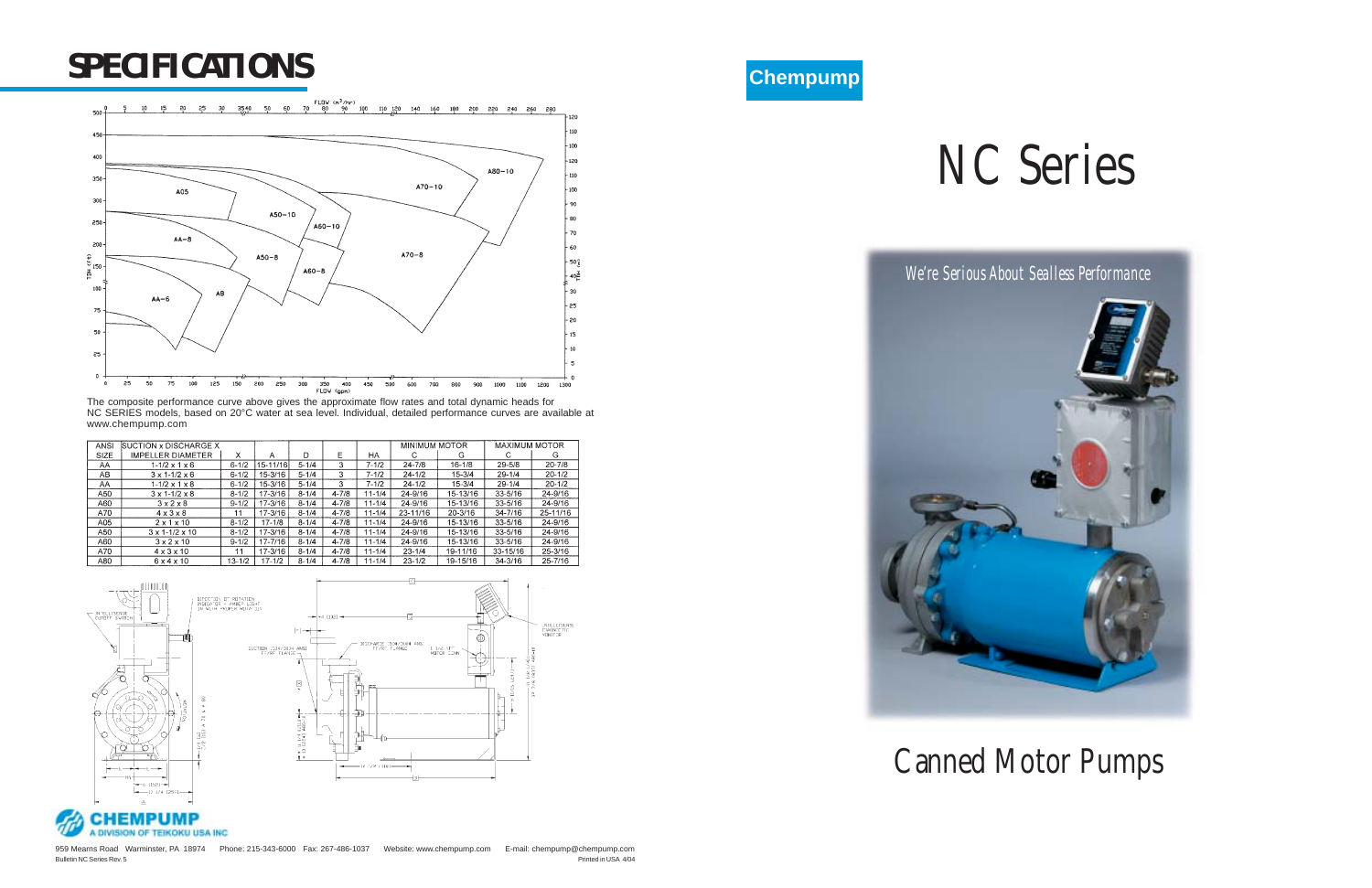# NC Series

*We're Serious About Sealless Performance*









## Canned Motor Pumps

### *SPECIFICATIONS*



The composite performance curve above gives the approximate flow rates and total dynamic heads for NC SERIES models, based on 20°C water at sea level. Individual, detailed performance curves are available at www.chempump.com

| ANSI | <b>SUCTION x DISCHARGE X</b> |            |             |           |           |            | <b>MINIMUM MOTOR</b> |            | <b>MAXIMUM MOTOR</b> |            |
|------|------------------------------|------------|-------------|-----------|-----------|------------|----------------------|------------|----------------------|------------|
| SIZE | <b>IMPELLER DIAMETER</b>     | x          | А           | D         | E         | HA         | С                    | G          | С                    | G          |
| AA   | $1 - 1/2 \times 1 \times 6$  | $6 - 1/2$  | 15-11/16    | $5 - 1/4$ | 3         | $7 - 1/2$  | $24 - 7/8$           | $16 - 1/8$ | $29 - 5/8$           | $20 - 7/8$ |
| AB   | $3 \times 1 - 1/2 \times 6$  | $6 - 1/2$  | 15-3/16     | $5 - 1/4$ | 3         | 7-1/2      | $24 - 1/2$           | $15 - 3/4$ | $29 - 1/4$           | $20 - 1/2$ |
| AA   | $1 - 1/2 \times 1 \times 8$  | $6 - 1/2$  | 15-3/16     | $5 - 1/4$ | 3         | $7 - 1/2$  | $24 - 1/2$           | $15 - 3/4$ | $29 - 1/4$           | $20 - 1/2$ |
| A50  | $3 \times 1 - 1/2 \times 8$  | $8 - 1/2$  | $17 - 3/16$ | $8 - 1/4$ | $4 - 7/8$ | $11 - 1/4$ | 24-9/16              | 15-13/16   | $33 - 5/16$          | 24-9/16    |
| A60  | 3x2x8                        | $9 - 1/2$  | 17-3/16     | $8 - 1/4$ | $4 - 7/8$ | $11 - 1/4$ | 24-9/16              | 15-13/16   | $33 - 5/16$          | 24-9/16    |
| A70  | $4 \times 3 \times 8$        | 11         | 17-3/16     | $8 - 1/4$ | $4 - 7/8$ | $11 - 1/4$ | 23-11/16             | 20-3/16    | $34 - 7/16$          | 25-11/16   |
| A05  | $2 \times 1 \times 10$       | $8 - 1/2$  | $17 - 1/8$  | $8 - 1/4$ | $4 - 7/8$ | $11 - 1/4$ | 24-9/16              | 15-13/16   | 33-5/16              | 24-9/16    |
| A50  | $3 \times 1 - 1/2 \times 10$ | $8 - 1/2$  | 17-3/16     | $8 - 1/4$ | $4 - 7/8$ | $11 - 1/4$ | 24-9/16              | 15-13/16   | 33-5/16              | 24-9/16    |
| A60  | $3 \times 2 \times 10$       | $9 - 1/2$  | 17-7/16     | $8 - 1/4$ | $4 - 7/8$ | $11 - 1/4$ | 24-9/16              | 15-13/16   | 33-5/16              | 24-9/16    |
| A70  | $4 \times 3 \times 10$       | 11         | $17 - 3/16$ | $8 - 1/4$ | $4 - 7/8$ | $11 - 1/4$ | $23 - 1/4$           | 19-11/16   | 33-15/16             | 25-3/16    |
| A80  | $6 \times 4 \times 10$       | $13 - 1/2$ | $17 - 1/2$  | $8 - 1/4$ | $4 - 7/8$ | $11 - 1/4$ | $23 - 1/2$           | 19-15/16   | $34 - 3/16$          | 25-7/16    |